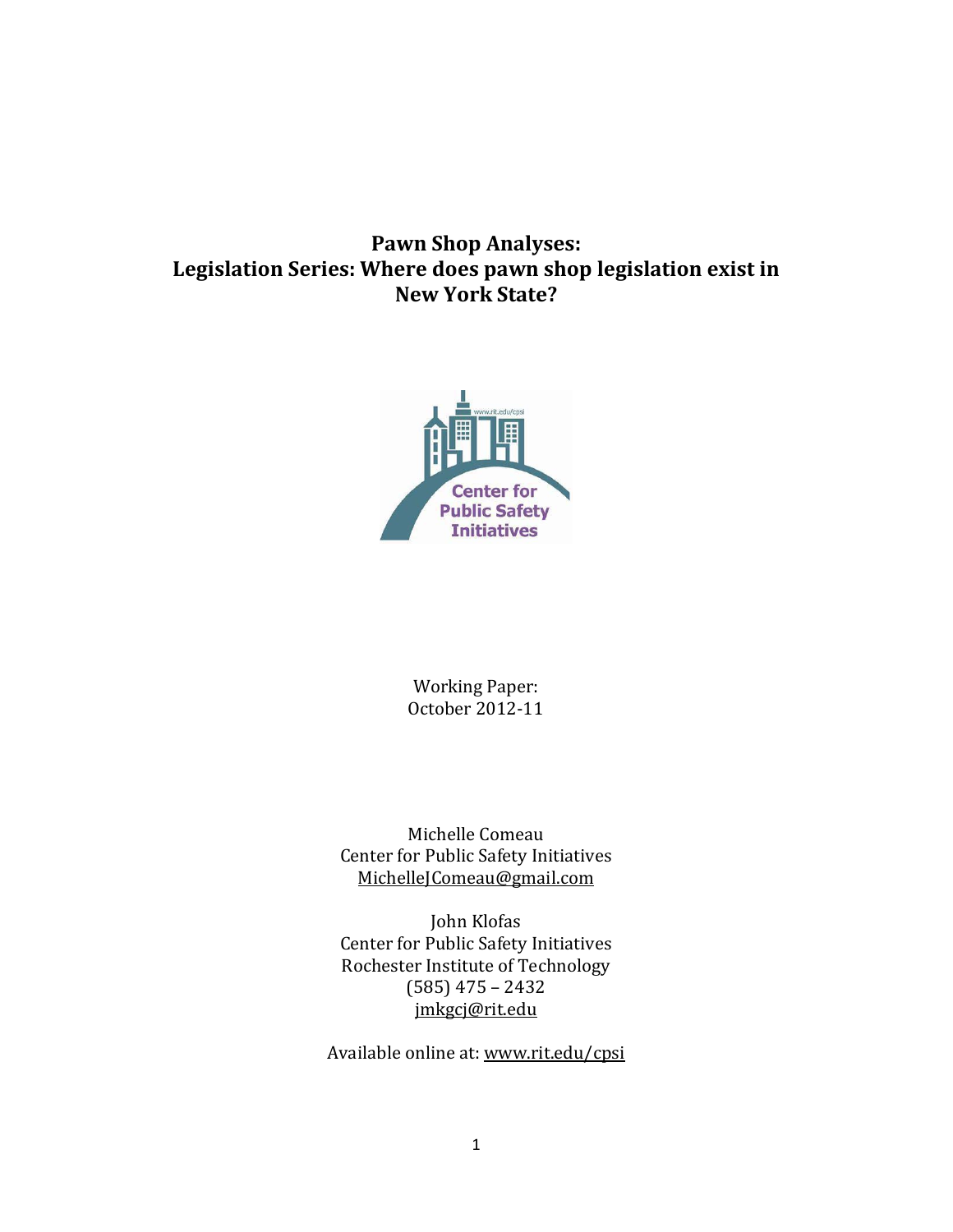# **Pawn Shop Analyses: Legislation Series: Where does pawn shop legislation exist in New York State?**



Working Paper: October 2012-11

Michelle Comeau Center for Public Safety Initiatives [MichelleJComeau@gmail.com](mailto:MichelleJComeau@gmail.com)

John Klofas Center for Public Safety Initiatives Rochester Institute of Technology (585) 475 – 2432 [jmkgcj@rit.edu](mailto:jmkgcj@rit.edu)

Available online at: www.rit.edu/cpsi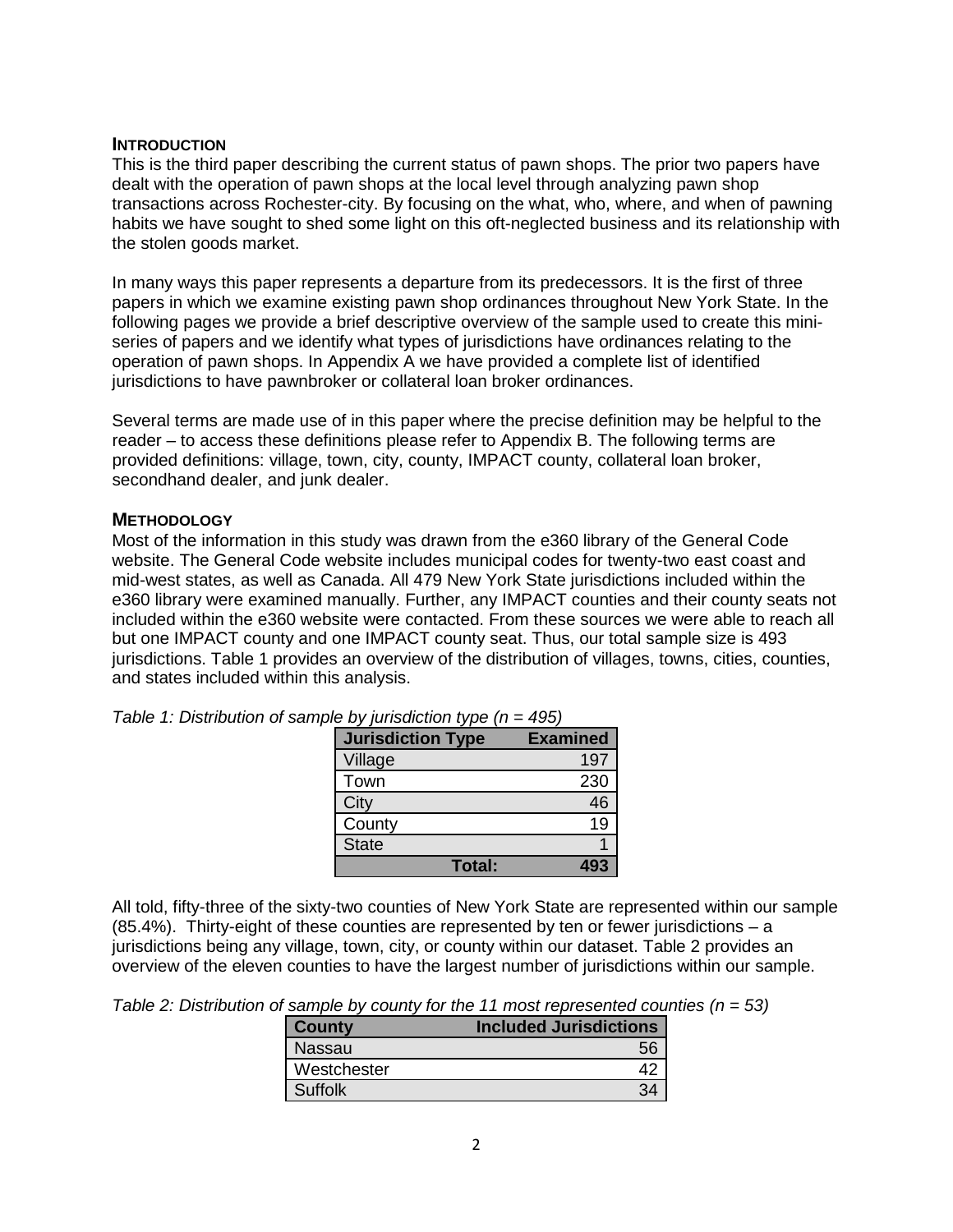#### **INTRODUCTION**

This is the third paper describing the current status of pawn shops. The prior two papers have dealt with the operation of pawn shops at the local level through analyzing pawn shop transactions across Rochester-city. By focusing on the what, who, where, and when of pawning habits we have sought to shed some light on this oft-neglected business and its relationship with the stolen goods market.

In many ways this paper represents a departure from its predecessors. It is the first of three papers in which we examine existing pawn shop ordinances throughout New York State. In the following pages we provide a brief descriptive overview of the sample used to create this miniseries of papers and we identify what types of jurisdictions have ordinances relating to the operation of pawn shops. In Appendix A we have provided a complete list of identified jurisdictions to have pawnbroker or collateral loan broker ordinances.

Several terms are made use of in this paper where the precise definition may be helpful to the reader – to access these definitions please refer to Appendix B. The following terms are provided definitions: village, town, city, county, IMPACT county, collateral loan broker, secondhand dealer, and junk dealer.

# **METHODOLOGY**

Most of the information in this study was drawn from the e360 library of the General Code website. The General Code website includes municipal codes for twenty-two east coast and mid-west states, as well as Canada. All 479 New York State jurisdictions included within the e360 library were examined manually. Further, any IMPACT counties and their county seats not included within the e360 website were contacted. From these sources we were able to reach all but one IMPACT county and one IMPACT county seat. Thus, our total sample size is 493 jurisdictions. Table 1 provides an overview of the distribution of villages, towns, cities, counties, and states included within this analysis.

| <b>Jurisdiction Type</b> | <b>Examined</b> |
|--------------------------|-----------------|
| Village                  | 197             |
| Town                     | 230             |
| City                     | 46              |
| County                   | 19              |
| <b>State</b>             |                 |
| Total:                   |                 |

*Table 1: Distribution of sample by jurisdiction type (n = 495)*

All told, fifty-three of the sixty-two counties of New York State are represented within our sample (85.4%). Thirty-eight of these counties are represented by ten or fewer jurisdictions – a jurisdictions being any village, town, city, or county within our dataset. Table 2 provides an overview of the eleven counties to have the largest number of jurisdictions within our sample.

*Table 2: Distribution of sample by county for the 11 most represented counties (n = 53)*

| <b>County</b> | <b>Included Jurisdictions</b> |
|---------------|-------------------------------|
| Nassau        |                               |
| Westchester   |                               |
| Suffolk       |                               |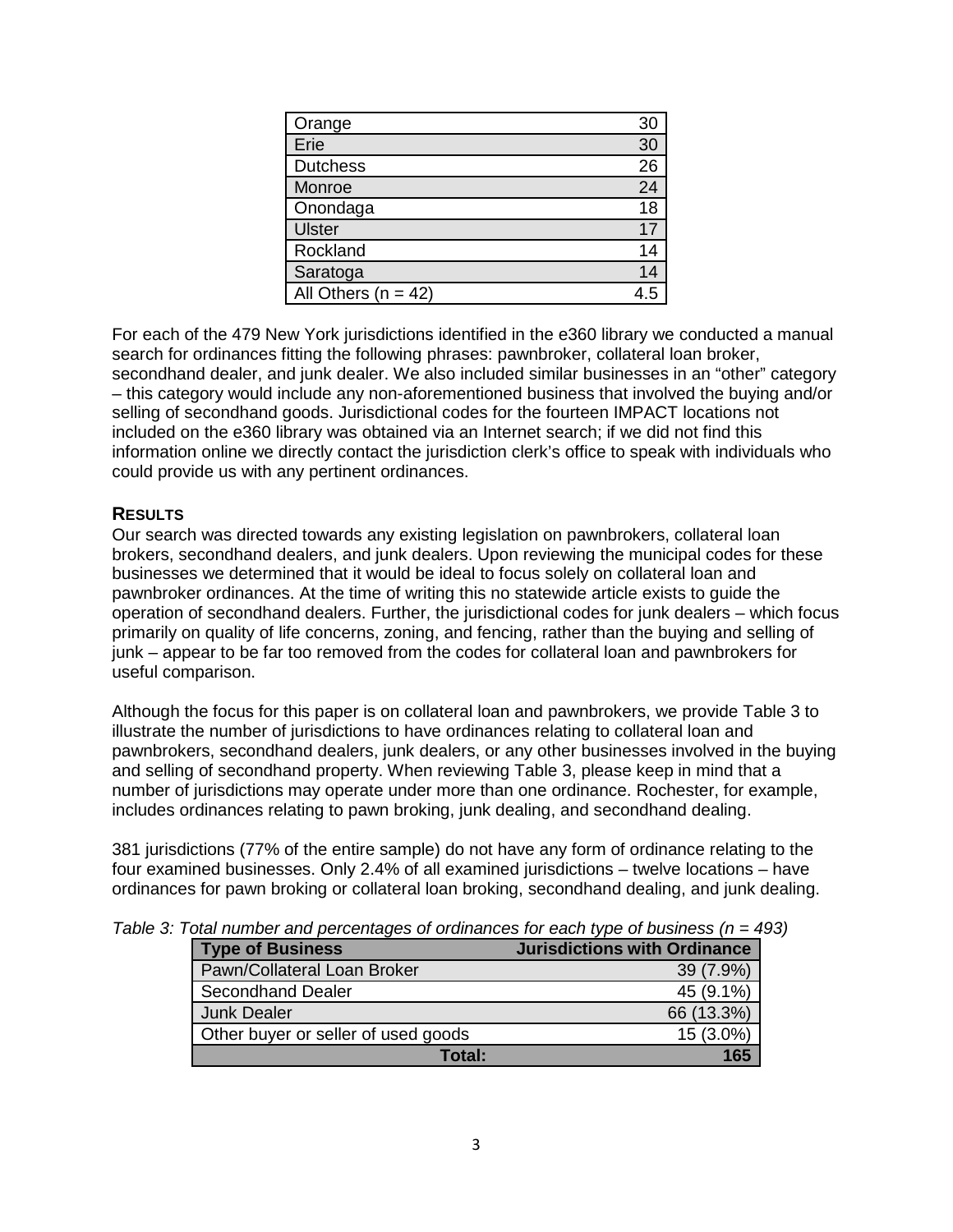| Orange                  | 30 |
|-------------------------|----|
| Erie                    | 30 |
| <b>Dutchess</b>         | 26 |
| Monroe                  | 24 |
| Onondaga                | 18 |
| <b>Ulster</b>           |    |
| Rockland                |    |
| Saratoga                |    |
| All Others ( $n = 42$ ) |    |

For each of the 479 New York jurisdictions identified in the e360 library we conducted a manual search for ordinances fitting the following phrases: pawnbroker, collateral loan broker, secondhand dealer, and junk dealer. We also included similar businesses in an "other" category – this category would include any non-aforementioned business that involved the buying and/or selling of secondhand goods. Jurisdictional codes for the fourteen IMPACT locations not included on the e360 library was obtained via an Internet search; if we did not find this information online we directly contact the jurisdiction clerk's office to speak with individuals who could provide us with any pertinent ordinances.

# **RESULTS**

Our search was directed towards any existing legislation on pawnbrokers, collateral loan brokers, secondhand dealers, and junk dealers. Upon reviewing the municipal codes for these businesses we determined that it would be ideal to focus solely on collateral loan and pawnbroker ordinances. At the time of writing this no statewide article exists to guide the operation of secondhand dealers. Further, the jurisdictional codes for junk dealers – which focus primarily on quality of life concerns, zoning, and fencing, rather than the buying and selling of junk – appear to be far too removed from the codes for collateral loan and pawnbrokers for useful comparison.

Although the focus for this paper is on collateral loan and pawnbrokers, we provide Table 3 to illustrate the number of jurisdictions to have ordinances relating to collateral loan and pawnbrokers, secondhand dealers, junk dealers, or any other businesses involved in the buying and selling of secondhand property. When reviewing Table 3, please keep in mind that a number of jurisdictions may operate under more than one ordinance. Rochester, for example, includes ordinances relating to pawn broking, junk dealing, and secondhand dealing.

381 jurisdictions (77% of the entire sample) do not have any form of ordinance relating to the four examined businesses. Only 2.4% of all examined jurisdictions – twelve locations – have ordinances for pawn broking or collateral loan broking, secondhand dealing, and junk dealing.

| <b>Type of Business</b>             | <b>Jurisdictions with Ordinance</b> |
|-------------------------------------|-------------------------------------|
| Pawn/Collateral Loan Broker         | 39 (7.9%)                           |
| <b>Secondhand Dealer</b>            | 45 (9.1%)                           |
| <b>Junk Dealer</b>                  | 66 (13.3%)                          |
| Other buyer or seller of used goods | 15 (3.0%)                           |
| Total:                              |                                     |

*Table 3: Total number and percentages of ordinances for each type of business (n = 493)*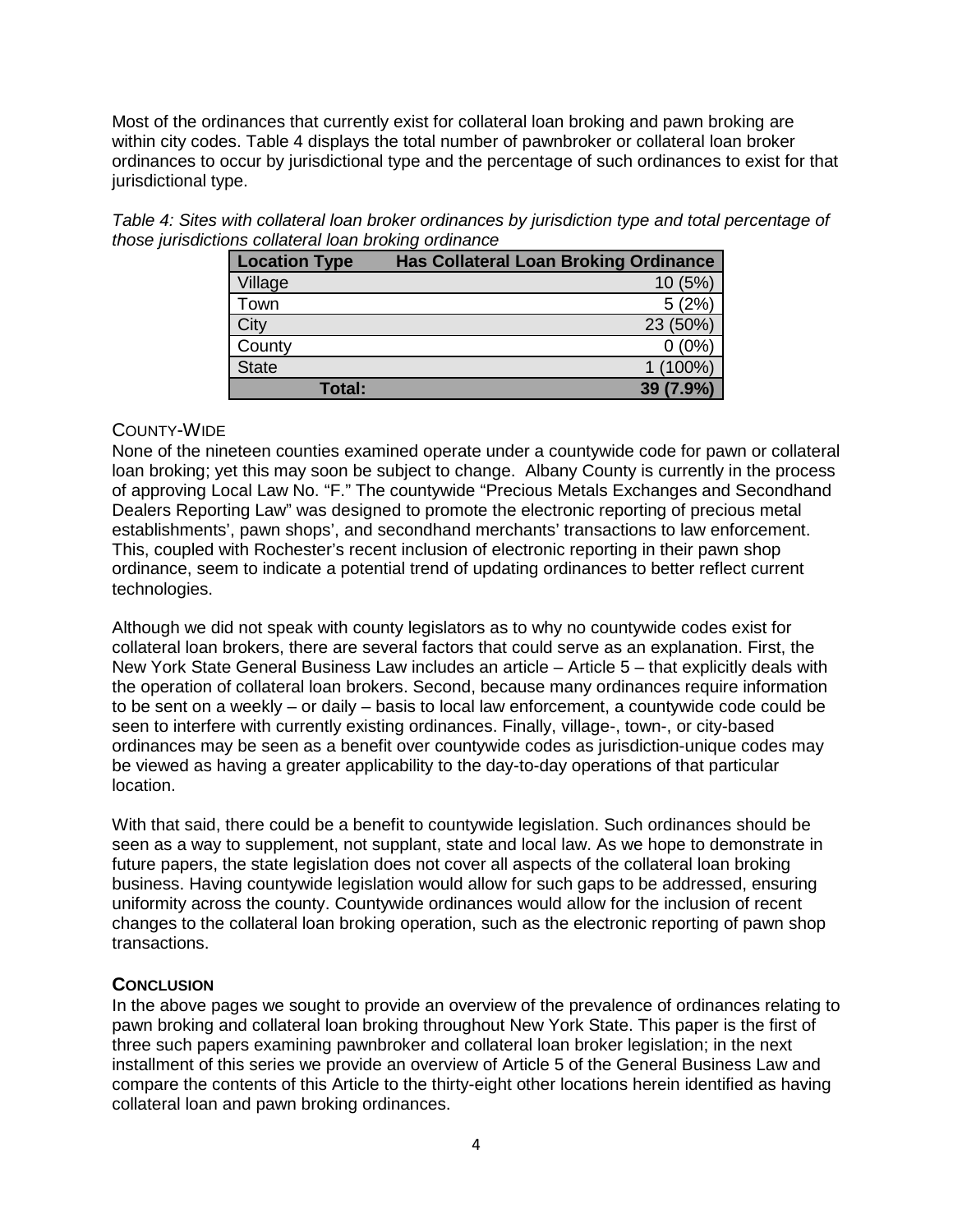Most of the ordinances that currently exist for collateral loan broking and pawn broking are within city codes. Table 4 displays the total number of pawnbroker or collateral loan broker ordinances to occur by jurisdictional type and the percentage of such ordinances to exist for that jurisdictional type.

*Table 4: Sites with collateral loan broker ordinances by jurisdiction type and total percentage of those jurisdictions collateral loan broking ordinance*

| <b>Location Type</b> | <b>Has Collateral Loan Broking Ordinance</b> |
|----------------------|----------------------------------------------|
| Village              | (5%)                                         |
| Town                 | 5(2%)                                        |
| City                 | 23 (50%)                                     |
| County               | (0%                                          |
| <b>State</b>         | 1 (100%)                                     |
| Total:               | 39 (7.9%)                                    |

# COUNTY-WIDE

None of the nineteen counties examined operate under a countywide code for pawn or collateral loan broking; yet this may soon be subject to change. Albany County is currently in the process of approving Local Law No. "F." The countywide "Precious Metals Exchanges and Secondhand Dealers Reporting Law" was designed to promote the electronic reporting of precious metal establishments', pawn shops', and secondhand merchants' transactions to law enforcement. This, coupled with Rochester's recent inclusion of electronic reporting in their pawn shop ordinance, seem to indicate a potential trend of updating ordinances to better reflect current technologies.

Although we did not speak with county legislators as to why no countywide codes exist for collateral loan brokers, there are several factors that could serve as an explanation. First, the New York State General Business Law includes an article – Article 5 – that explicitly deals with the operation of collateral loan brokers. Second, because many ordinances require information to be sent on a weekly – or daily – basis to local law enforcement, a countywide code could be seen to interfere with currently existing ordinances. Finally, village-, town-, or city-based ordinances may be seen as a benefit over countywide codes as jurisdiction-unique codes may be viewed as having a greater applicability to the day-to-day operations of that particular location.

With that said, there could be a benefit to countywide legislation. Such ordinances should be seen as a way to supplement, not supplant, state and local law. As we hope to demonstrate in future papers, the state legislation does not cover all aspects of the collateral loan broking business. Having countywide legislation would allow for such gaps to be addressed, ensuring uniformity across the county. Countywide ordinances would allow for the inclusion of recent changes to the collateral loan broking operation, such as the electronic reporting of pawn shop transactions.

# **CONCLUSION**

In the above pages we sought to provide an overview of the prevalence of ordinances relating to pawn broking and collateral loan broking throughout New York State. This paper is the first of three such papers examining pawnbroker and collateral loan broker legislation; in the next installment of this series we provide an overview of Article 5 of the General Business Law and compare the contents of this Article to the thirty-eight other locations herein identified as having collateral loan and pawn broking ordinances.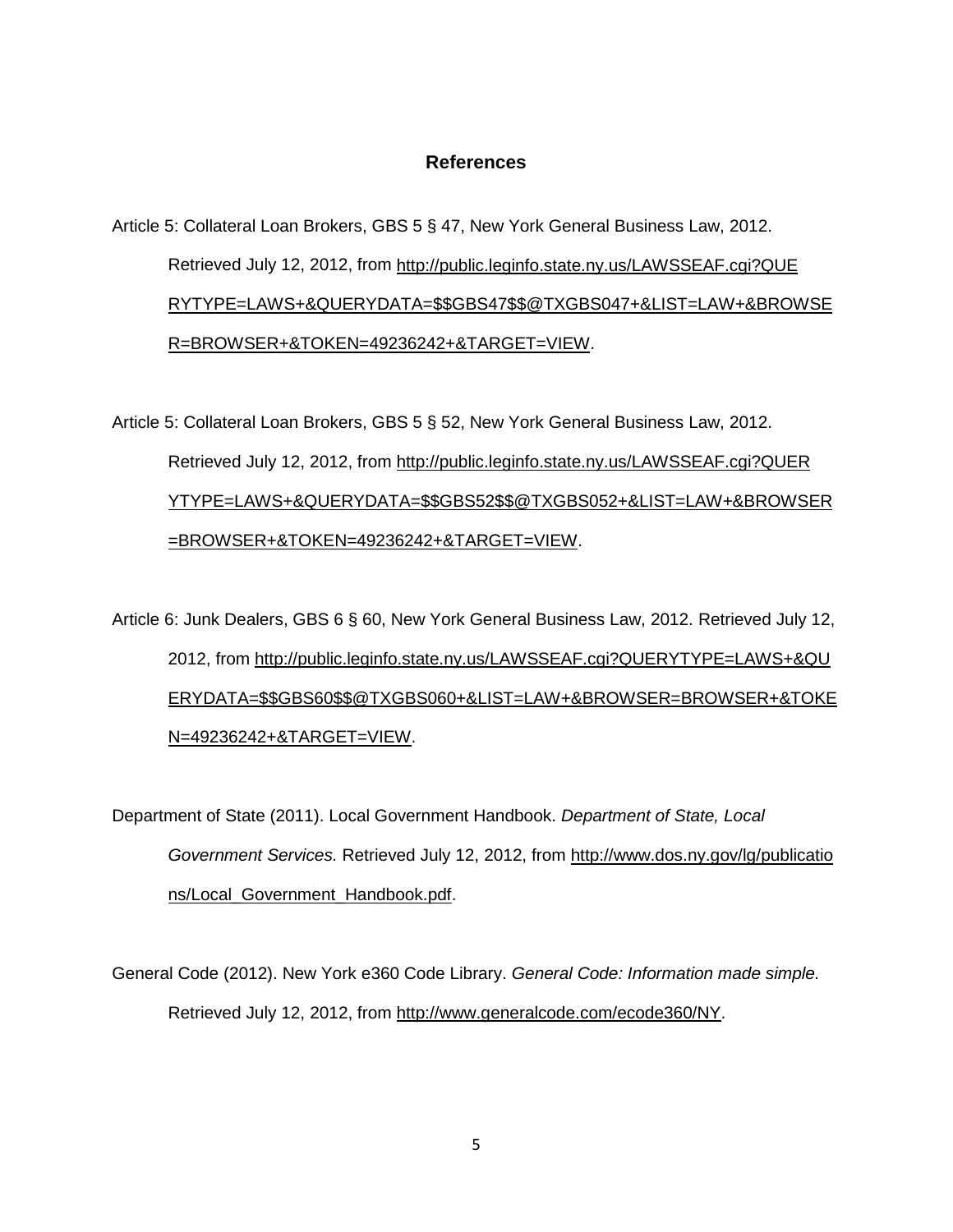#### **References**

# Article 5: Collateral Loan Brokers, GBS 5 § 47, New York General Business Law, 2012. Retrieved July 12, 2012, from [http://public.leginfo.state.ny.us/LAWSSEAF.cgi?QUE](http://public.leginfo.state.ny.us/LAWSSEAF.cgi?QUE%0bRYTYPE=LAWS+&QUERYDATA=$$GBS47$$@TXGBS047+&LIST=LAW+&BROWSER=BROWSER+&TOKEN=49236242+&TARGET=VIEW) [RYTYPE=LAWS+&QUERYDATA=\\$\\$GBS47\\$\\$@TXGBS047+&LIST=LAW+&BROWSE](http://public.leginfo.state.ny.us/LAWSSEAF.cgi?QUE%0bRYTYPE=LAWS+&QUERYDATA=$$GBS47$$@TXGBS047+&LIST=LAW+&BROWSER=BROWSER+&TOKEN=49236242+&TARGET=VIEW) [R=BROWSER+&TOKEN=49236242+&TARGET=VIEW.](http://public.leginfo.state.ny.us/LAWSSEAF.cgi?QUE%0bRYTYPE=LAWS+&QUERYDATA=$$GBS47$$@TXGBS047+&LIST=LAW+&BROWSER=BROWSER+&TOKEN=49236242+&TARGET=VIEW)

Article 5: Collateral Loan Brokers, GBS 5 § 52, New York General Business Law, 2012. Retrieved July 12, 2012, from [http://public.leginfo.state.ny.us/LAWSSEAF.cgi?QUER](http://public.leginfo.state.ny.us/LAWSSEAF.cgi?QUER%0bYTYPE=LAWS+&QUERYDATA=$$GBS52$$@TXGBS052+&LIST=LAW+&BROWSER=BROWSER+&TOKEN=49236242+&TARGET=VIEW) [YTYPE=LAWS+&QUERYDATA=\\$\\$GBS52\\$\\$@TXGBS052+&LIST=LAW+&BROWSER](http://public.leginfo.state.ny.us/LAWSSEAF.cgi?QUER%0bYTYPE=LAWS+&QUERYDATA=$$GBS52$$@TXGBS052+&LIST=LAW+&BROWSER=BROWSER+&TOKEN=49236242+&TARGET=VIEW) [=BROWSER+&TOKEN=49236242+&TARGET=VIEW.](http://public.leginfo.state.ny.us/LAWSSEAF.cgi?QUER%0bYTYPE=LAWS+&QUERYDATA=$$GBS52$$@TXGBS052+&LIST=LAW+&BROWSER=BROWSER+&TOKEN=49236242+&TARGET=VIEW)

Article 6: Junk Dealers, GBS 6 § 60, New York General Business Law, 2012. Retrieved July 12, 2012, from [http://public.leginfo.state.ny.us/LAWSSEAF.cgi?QUERYTYPE=LAWS+&QU](http://public.leginfo.state.ny.us/LAWSSEAF.cgi?QUERYTYPE=LAWS+&QU%0bERYDATA=$$GBS60$$@TXGBS060+&LIST=LAW+&BROWSER=BROWSER+&TOKEN=49236242+&TARGET=VIEW) [ERYDATA=\\$\\$GBS60\\$\\$@TXGBS060+&LIST=LAW+&BROWSER=BROWSER+&TOKE](http://public.leginfo.state.ny.us/LAWSSEAF.cgi?QUERYTYPE=LAWS+&QU%0bERYDATA=$$GBS60$$@TXGBS060+&LIST=LAW+&BROWSER=BROWSER+&TOKEN=49236242+&TARGET=VIEW) [N=49236242+&TARGET=VIEW.](http://public.leginfo.state.ny.us/LAWSSEAF.cgi?QUERYTYPE=LAWS+&QU%0bERYDATA=$$GBS60$$@TXGBS060+&LIST=LAW+&BROWSER=BROWSER+&TOKEN=49236242+&TARGET=VIEW)

Department of State (2011). Local Government Handbook. *Department of State, Local Government Services.* Retrieved July 12, 2012, from [http://www.dos.ny.gov/lg/publicatio](http://www.dos.ny.gov/lg/publicatio%0bns/Local_Government_Handbook.pdf) [ns/Local\\_Government\\_Handbook.pdf.](http://www.dos.ny.gov/lg/publicatio%0bns/Local_Government_Handbook.pdf)

General Code (2012). New York e360 Code Library. *General Code: Information made simple.*  Retrieved July 12, 2012, from [http://www.generalcode.com/ecode360/NY.](http://www.generalcode.com/ecode360/NY)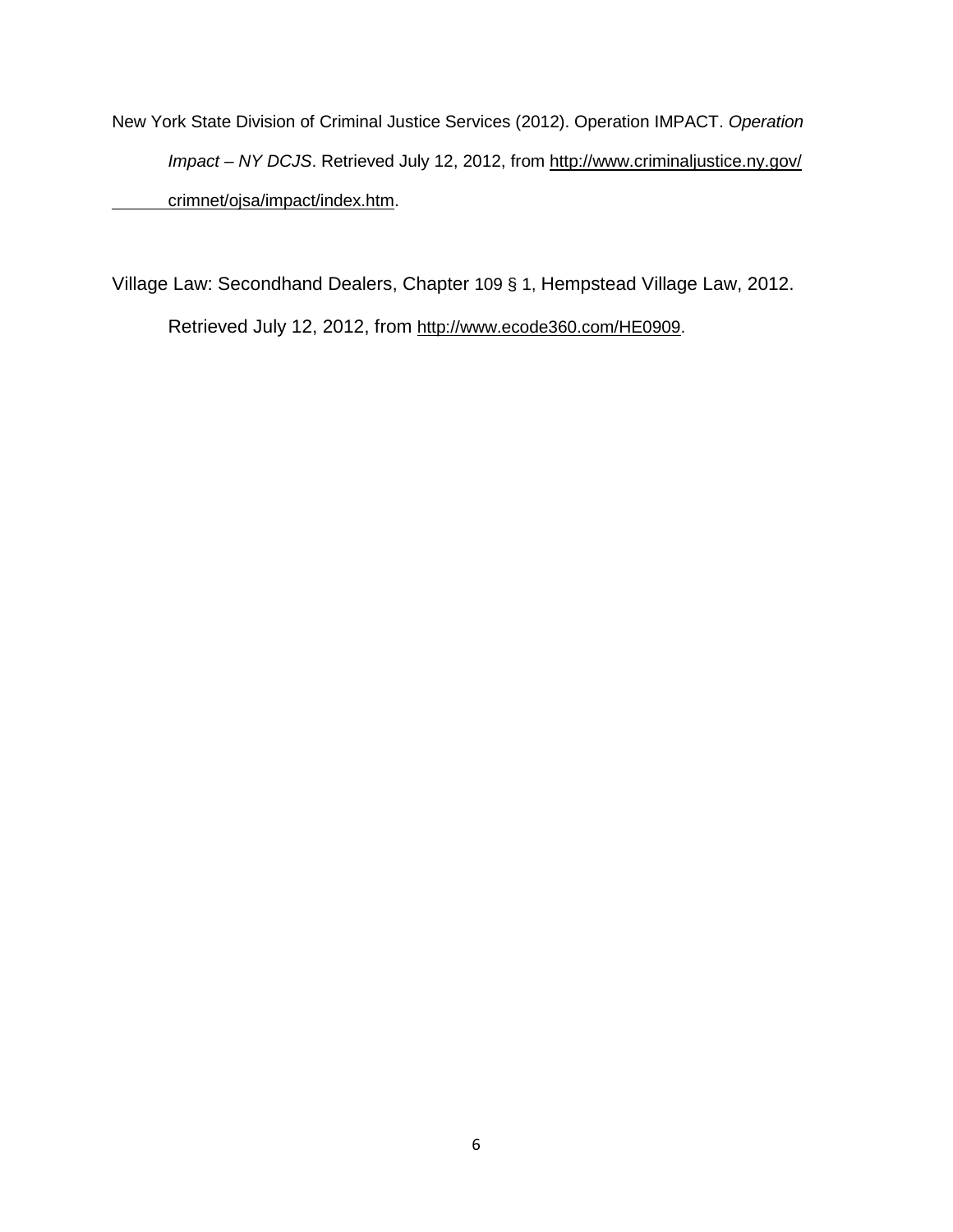New York State Division of Criminal Justice Services (2012). Operation IMPACT. *Operation Impact – NY DCJS*. Retrieved July 12, 2012, from [http://www.criminaljustice.ny.gov/](http://www.criminaljustice.ny.gov/%0bcrimnet/ojsa/impact/index.htm) [crimnet/ojsa/impact/index.htm.](http://www.criminaljustice.ny.gov/%0bcrimnet/ojsa/impact/index.htm)

Village Law: Secondhand Dealers, Chapter 109 § 1, Hempstead Village Law, 2012. Retrieved July 12, 2012, from [http://www.ecode360.com/HE0909.](http://www.ecode360.com/HE0909)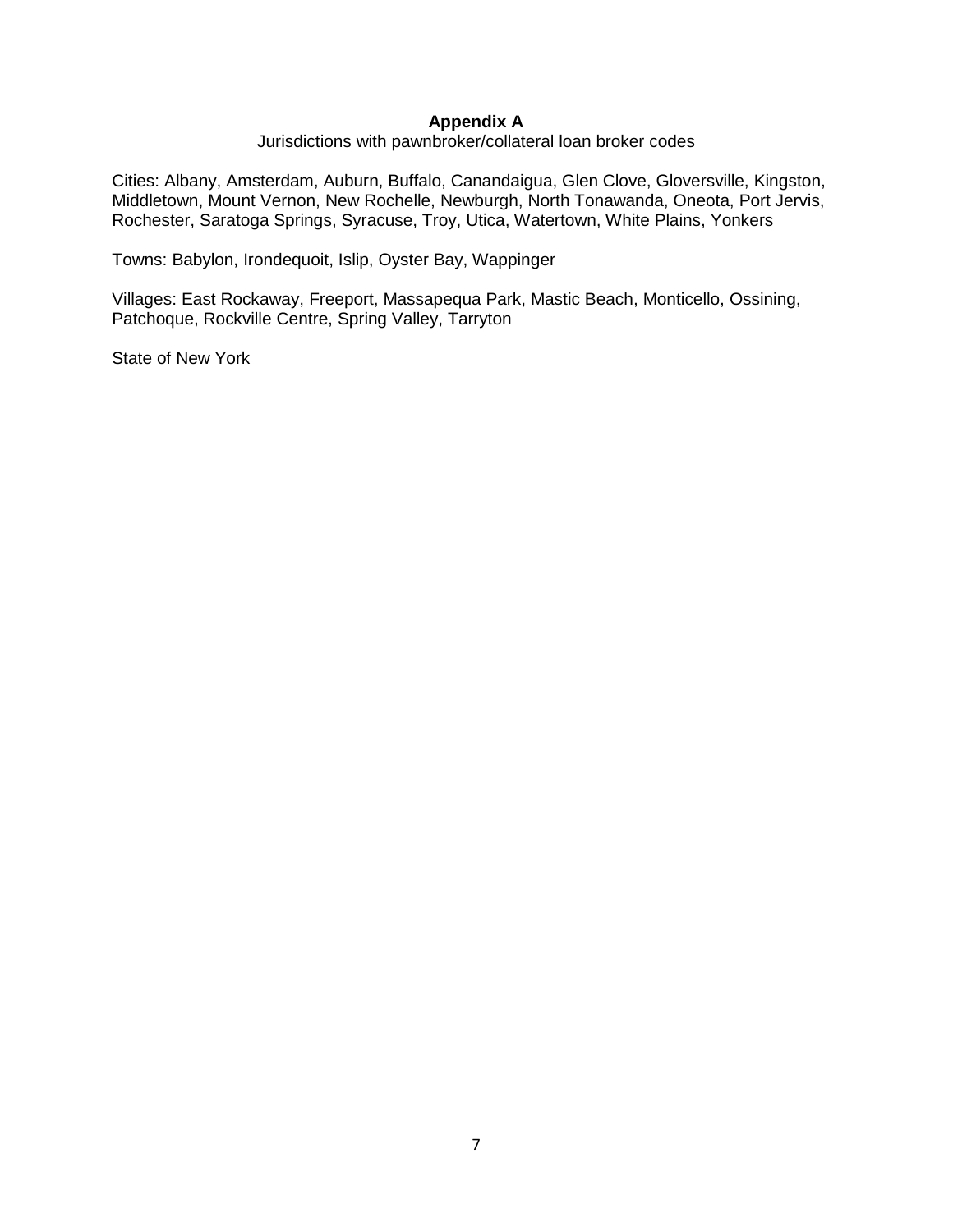#### **Appendix A**

Jurisdictions with pawnbroker/collateral loan broker codes

Cities: Albany, Amsterdam, Auburn, Buffalo, Canandaigua, Glen Clove, Gloversville, Kingston, Middletown, Mount Vernon, New Rochelle, Newburgh, North Tonawanda, Oneota, Port Jervis, Rochester, Saratoga Springs, Syracuse, Troy, Utica, Watertown, White Plains, Yonkers

Towns: Babylon, Irondequoit, Islip, Oyster Bay, Wappinger

Villages: East Rockaway, Freeport, Massapequa Park, Mastic Beach, Monticello, Ossining, Patchoque, Rockville Centre, Spring Valley, Tarryton

State of New York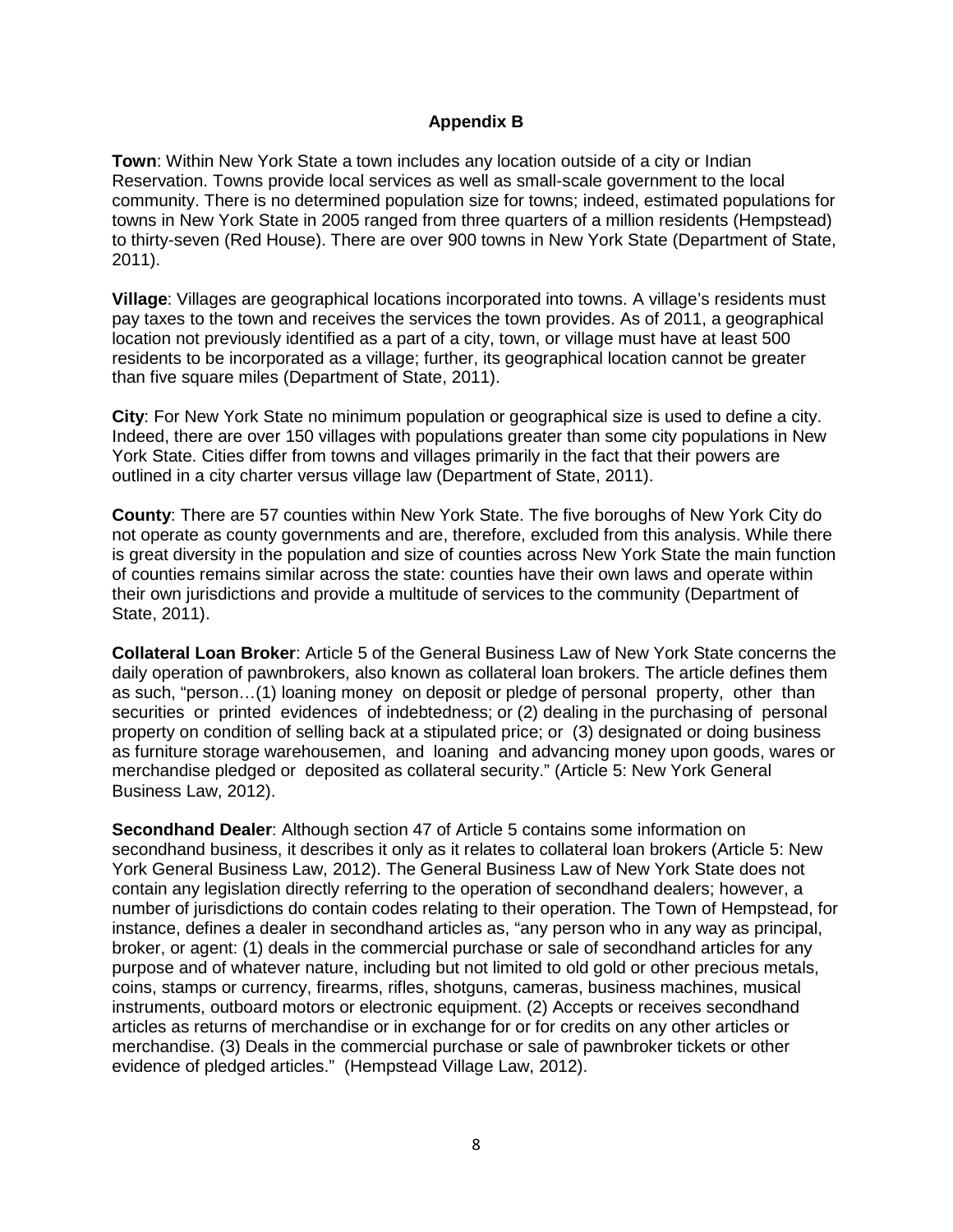#### **Appendix B**

**Town**: Within New York State a town includes any location outside of a city or Indian Reservation. Towns provide local services as well as small-scale government to the local community. There is no determined population size for towns; indeed, estimated populations for towns in New York State in 2005 ranged from three quarters of a million residents (Hempstead) to thirty-seven (Red House). There are over 900 towns in New York State (Department of State, 2011).

**Village**: Villages are geographical locations incorporated into towns. A village's residents must pay taxes to the town and receives the services the town provides. As of 2011, a geographical location not previously identified as a part of a city, town, or village must have at least 500 residents to be incorporated as a village; further, its geographical location cannot be greater than five square miles (Department of State, 2011).

**City**: For New York State no minimum population or geographical size is used to define a city. Indeed, there are over 150 villages with populations greater than some city populations in New York State. Cities differ from towns and villages primarily in the fact that their powers are outlined in a city charter versus village law (Department of State, 2011).

**County**: There are 57 counties within New York State. The five boroughs of New York City do not operate as county governments and are, therefore, excluded from this analysis. While there is great diversity in the population and size of counties across New York State the main function of counties remains similar across the state: counties have their own laws and operate within their own jurisdictions and provide a multitude of services to the community (Department of State, 2011).

**Collateral Loan Broker**: Article 5 of the General Business Law of New York State concerns the daily operation of pawnbrokers, also known as collateral loan brokers. The article defines them as such, "person…(1) loaning money on deposit or pledge of personal property, other than securities or printed evidences of indebtedness; or (2) dealing in the purchasing of personal property on condition of selling back at a stipulated price; or (3) designated or doing business as furniture storage warehousemen, and loaning and advancing money upon goods, wares or merchandise pledged or deposited as collateral security." (Article 5: New York General Business Law, 2012).

**Secondhand Dealer**: Although section 47 of Article 5 contains some information on secondhand business, it describes it only as it relates to collateral loan brokers (Article 5: New York General Business Law, 2012). The General Business Law of New York State does not contain any legislation directly referring to the operation of secondhand dealers; however, a number of jurisdictions do contain codes relating to their operation. The Town of Hempstead, for instance, defines a dealer in secondhand articles as, "any person who in any way as principal, broker, or agent: (1) deals in the commercial purchase or sale of secondhand articles for any purpose and of whatever nature, including but not limited to old gold or other precious metals, coins, stamps or currency, firearms, rifles, shotguns, cameras, business machines, musical instruments, outboard motors or electronic equipment. (2) Accepts or receives secondhand articles as returns of merchandise or in exchange for or for credits on any other articles or merchandise. (3) Deals in the commercial purchase or sale of pawnbroker tickets or other evidence of pledged articles." (Hempstead Village Law, 2012).